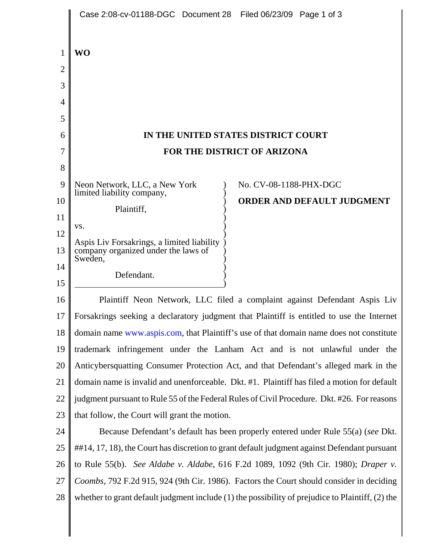|                          | Case 2:08-cv-01188-DGC Document 28 Filed 06/23/09 Page 1 of 3                                    |  |  |
|--------------------------|--------------------------------------------------------------------------------------------------|--|--|
| 1<br>$\overline{2}$<br>3 | <b>WO</b>                                                                                        |  |  |
| 4<br>5                   |                                                                                                  |  |  |
| 6                        | IN THE UNITED STATES DISTRICT COURT                                                              |  |  |
| 7                        | <b>FOR THE DISTRICT OF ARIZONA</b>                                                               |  |  |
| 8                        |                                                                                                  |  |  |
| 9                        | Neon Network, LLC, a New York<br>No. CV-08-1188-PHX-DGC<br>limited liability company,            |  |  |
| 10                       | <b>ORDER AND DEFAULT JUDGMENT</b><br>Plaintiff,                                                  |  |  |
| 11                       |                                                                                                  |  |  |
| 12                       | VS.                                                                                              |  |  |
| 13                       | Aspis Liv Forsakrings, a limited liability<br>company organized under the laws of                |  |  |
| 14                       | Sweden,<br>Defendant.                                                                            |  |  |
| 15                       |                                                                                                  |  |  |
| 16                       | Plaintiff Neon Network, LLC filed a complaint against Defendant Aspis Liv                        |  |  |
| 17                       | Forsakrings seeking a declaratory judgment that Plaintiff is entitled to use the Internet        |  |  |
| 18                       | domain name www.aspis.com, that Plaintiff's use of that domain name does not constitute          |  |  |
| 19                       | trademark infringement under the Lanham Act and is not unlawful under the                        |  |  |
| 20                       | Anticybersquatting Consumer Protection Act, and that Defendant's alleged mark in the             |  |  |
| 21                       | domain name is invalid and unenforceable. Dkt. #1. Plaintiff has filed a motion for default      |  |  |
| 22                       | judgment pursuant to Rule 55 of the Federal Rules of Civil Procedure. Dkt. #26. For reasons      |  |  |
| 23                       | that follow, the Court will grant the motion.                                                    |  |  |
| 24                       | Because Defendant's default has been properly entered under Rule 55(a) (see Dkt.                 |  |  |
| 25                       | ##14, 17, 18), the Court has discretion to grant default judgment against Defendant pursuant     |  |  |
| 26                       | to Rule 55(b). See Aldabe v. Aldabe, 616 F.2d 1089, 1092 (9th Cir. 1980); Draper v.              |  |  |
| 27                       | Coombs, 792 F.2d 915, 924 (9th Cir. 1986). Factors the Court should consider in deciding         |  |  |
| 28                       | whether to grant default judgment include (1) the possibility of prejudice to Plaintiff, (2) the |  |  |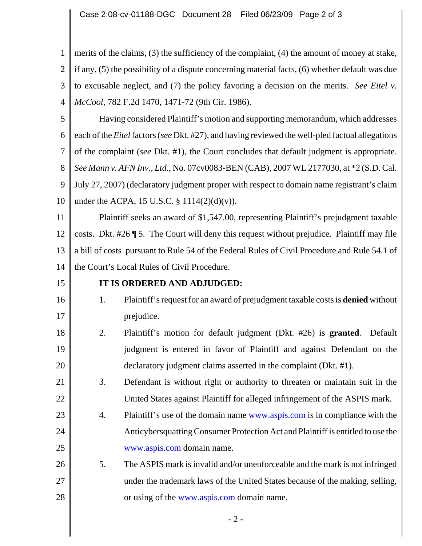Case 2:08-cv-01188-DGC Document 28 Filed 06/23/09 Page 2 of 3

1 2 3 4 merits of the claims, (3) the sufficiency of the complaint, (4) the amount of money at stake, if any, (5) the possibility of a dispute concerning material facts, (6) whether default was due to excusable neglect, and (7) the policy favoring a decision on the merits. *See Eitel v. McCool*, 782 F.2d 1470, 1471-72 (9th Cir. 1986).

5 6 7 8 9 10 Having considered Plaintiff's motion and supporting memorandum, which addresses each of the *Eitel* factors (*see* Dkt. #27), and having reviewed the well-pled factual allegations of the complaint (*see* Dkt. #1), the Court concludes that default judgment is appropriate. *See Mann v. AFN Inv., Ltd.*, No. 07cv0083-BEN (CAB), 2007 WL 2177030, at \*2 (S.D. Cal. July 27, 2007) (declaratory judgment proper with respect to domain name registrant's claim under the ACPA, 15 U.S.C. § 1114(2)(d)(v)).

11 12 13 14 Plaintiff seeks an award of \$1,547.00, representing Plaintiff's prejudgment taxable costs. Dkt. #26 ¶ 5. The Court will deny this request without prejudice. Plaintiff may file a bill of costs pursuant to Rule 54 of the Federal Rules of Civil Procedure and Rule 54.1 of the Court's Local Rules of Civil Procedure.

15

16

17

## **IT IS ORDERED AND ADJUDGED:**

- 1. Plaintiff's request for an award of prejudgment taxable costs is **denied** without prejudice.
- 18 19 20 2. Plaintiff's motion for default judgment (Dkt. #26) is **granted**. Default judgment is entered in favor of Plaintiff and against Defendant on the declaratory judgment claims asserted in the complaint (Dkt. #1).
- 21 22 3. Defendant is without right or authority to threaten or maintain suit in the United States against Plaintiff for alleged infringement of the ASPIS mark.
- 23 24 25 4. Plaintiff's use of the domain name www.aspis.com is in compliance with the Anticybersquatting Consumer Protection Act and Plaintiff is entitled to use the www.aspis.com domain name.
- 26 27 28 5. The ASPIS mark is invalid and/or unenforceable and the mark is not infringed under the trademark laws of the United States because of the making, selling, or using of the www.aspis.com domain name.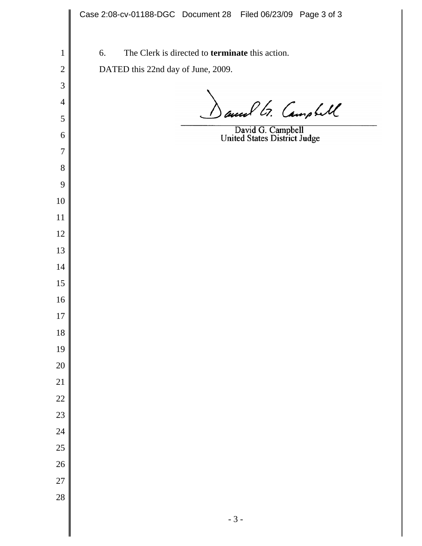Case 2:08-cv-01188-DGC Document 28 Filed 06/23/09 Page 3 of 36. The Clerk is directed to **terminate** this action. DATED this 22nd day of June, 2009. and G. Campbell David G. Campbell<br>United States District Judge